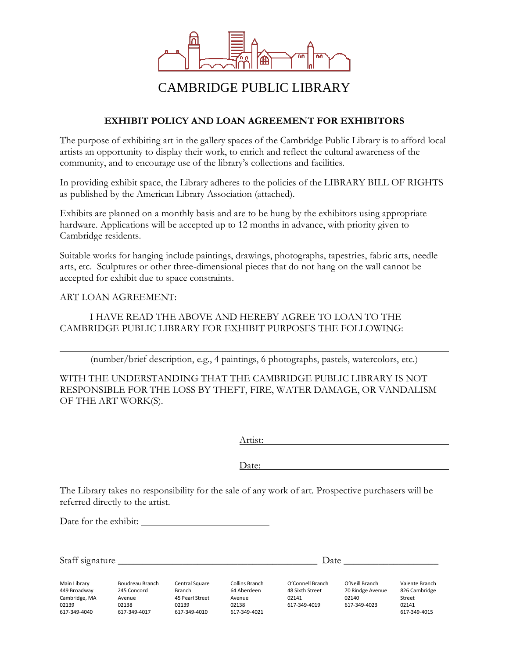

## CAMBRIDGE PUBLIC LIBRARY

## **EXHIBIT POLICY AND LOAN AGREEMENT FOR EXHIBITORS**

The purpose of exhibiting art in the gallery spaces of the Cambridge Public Library is to afford local artists an opportunity to display their work, to enrich and reflect the cultural awareness of the community, and to encourage use of the library's collections and facilities.

In providing exhibit space, the Library adheres to the policies of the LIBRARY BILL OF RIGHTS as published by the American Library Association (attached).

Exhibits are planned on a monthly basis and are to be hung by the exhibitors using appropriate hardware. Applications will be accepted up to 12 months in advance, with priority given to Cambridge residents.

Suitable works for hanging include paintings, drawings, photographs, tapestries, fabric arts, needle arts, etc. Sculptures or other three-dimensional pieces that do not hang on the wall cannot be accepted for exhibit due to space constraints.

ART LOAN AGREEMENT:

## I HAVE READ THE ABOVE AND HEREBY AGREE TO LOAN TO THE CAMBRIDGE PUBLIC LIBRARY FOR EXHIBIT PURPOSES THE FOLLOWING:

(number/brief description, e.g., 4 paintings, 6 photographs, pastels, watercolors, etc.)

WITH THE UNDERSTANDING THAT THE CAMBRIDGE PUBLIC LIBRARY IS NOT RESPONSIBLE FOR THE LOSS BY THEFT, FIRE, WATER DAMAGE, OR VANDALISM OF THE ART WORK(S).

Artist:

Date:

The Library takes no responsibility for the sale of any work of art. Prospective purchasers will be referred directly to the artist.

Date for the exhibit:

Main Library 449 Broadway Cambridge, MA 02139 617-349-4040 Boudreau Branch 245 Concord Avenue 02138 617-349-4017 Central Square Branch 45 Pearl Street 02139 617-349-4010 Collins Branch 64 Aberdeen Avenue 02138 617-349-4021 O'Connell Branch 48 Sixth Street 02141 617-349-4019 O'Neill Branch 70 Rindge Avenue 02140 617-349-4023 Valente Branch 826 Cambridge Street 02141 617-349-4015 Staff signature **Date**  $\overline{a}$